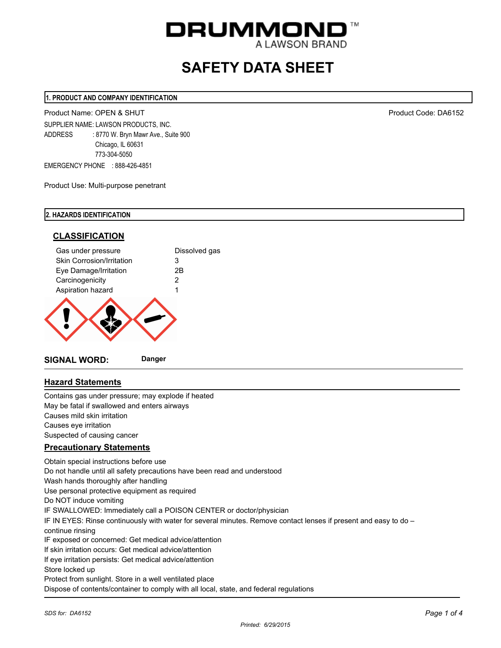

# **SAFETY DATA SHEET**

#### **1. PRODUCT AND COMPANY IDENTIFICATION**

Product Name: OPEN & SHUT Product Code: DA6152

SUPPLIER NAME: LAWSON PRODUCTS, INC. ADDRESS : 8770 W. Bryn Mawr Ave., Suite 900 Chicago, IL 60631 773-304-5050 EMERGENCY PHONE : 888-426-4851

Product Use: Multi-purpose penetrant

## **2. HAZARDS IDENTIFICATION**



# **Hazard Statements**

Contains gas under pressure; may explode if heated May be fatal if swallowed and enters airways Causes mild skin irritation Causes eye irritation Suspected of causing cancer

## **Precautionary Statements**

Obtain special instructions before use Do not handle until all safety precautions have been read and understood Wash hands thoroughly after handling Use personal protective equipment as required Do NOT induce vomiting IF SWALLOWED: Immediately call a POISON CENTER or doctor/physician IF IN EYES: Rinse continuously with water for several minutes. Remove contact lenses if present and easy to do – continue rinsing IF exposed or concerned: Get medical advice/attention If skin irritation occurs: Get medical advice/attention If eye irritation persists: Get medical advice/attention Store locked up Protect from sunlight. Store in a well ventilated place Dispose of contents/container to comply with all local, state, and federal regulations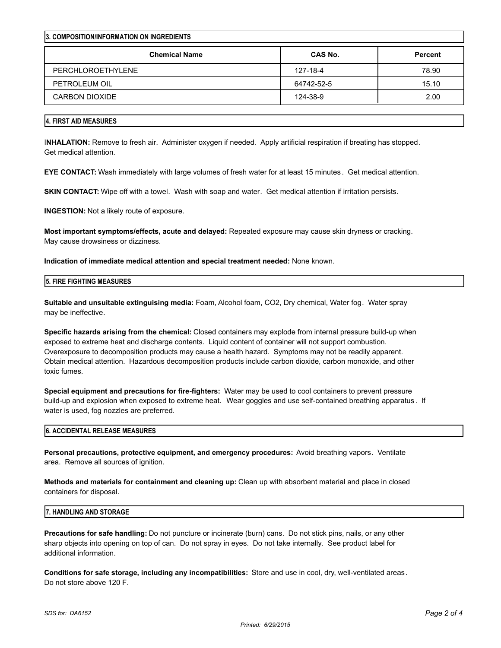| <b>3. COMPOSITION/INFORMATION ON INGREDIENTS</b> |                |  |  |  |
|--------------------------------------------------|----------------|--|--|--|
| CAS No.                                          | <b>Percent</b> |  |  |  |
| 127-18-4                                         | 78.90          |  |  |  |
| 64742-52-5                                       | 15.10          |  |  |  |
| 124-38-9                                         | 2.00           |  |  |  |
|                                                  |                |  |  |  |

## **4. FIRST AID MEASURES**

I**NHALATION:** Remove to fresh air. Administer oxygen if needed. Apply artificial respiration if breating has stopped. Get medical attention.

**EYE CONTACT:** Wash immediately with large volumes of fresh water for at least 15 minutes . Get medical attention.

**SKIN CONTACT:** Wipe off with a towel. Wash with soap and water. Get medical attention if irritation persists.

**INGESTION:** Not a likely route of exposure.

**Most important symptoms/effects, acute and delayed:** Repeated exposure may cause skin dryness or cracking. May cause drowsiness or dizziness.

**Indication of immediate medical attention and special treatment needed:** None known.

#### **5. FIRE FIGHTING MEASURES**

**Suitable and unsuitable extinguising media:** Foam, Alcohol foam, CO2, Dry chemical, Water fog. Water spray may be ineffective.

**Specific hazards arising from the chemical:** Closed containers may explode from internal pressure build-up when exposed to extreme heat and discharge contents. Liquid content of container will not support combustion. Overexposure to decomposition products may cause a health hazard. Symptoms may not be readily apparent. Obtain medical attention. Hazardous decomposition products include carbon dioxide, carbon monoxide, and other toxic fumes.

**Special equipment and precautions for fire-fighters:** Water may be used to cool containers to prevent pressure build-up and explosion when exposed to extreme heat. Wear goggles and use self-contained breathing apparatus . If water is used, fog nozzles are preferred.

## **6. ACCIDENTAL RELEASE MEASURES**

**Personal precautions, protective equipment, and emergency procedures:** Avoid breathing vapors. Ventilate area. Remove all sources of ignition.

**Methods and materials for containment and cleaning up:** Clean up with absorbent material and place in closed containers for disposal.

## **7. HANDLING AND STORAGE**

**Precautions for safe handling:** Do not puncture or incinerate (burn) cans. Do not stick pins, nails, or any other sharp objects into opening on top of can. Do not spray in eyes. Do not take internally. See product label for additional information.

**Conditions for safe storage, including any incompatibilities:** Store and use in cool, dry, well-ventilated areas. Do not store above 120 F.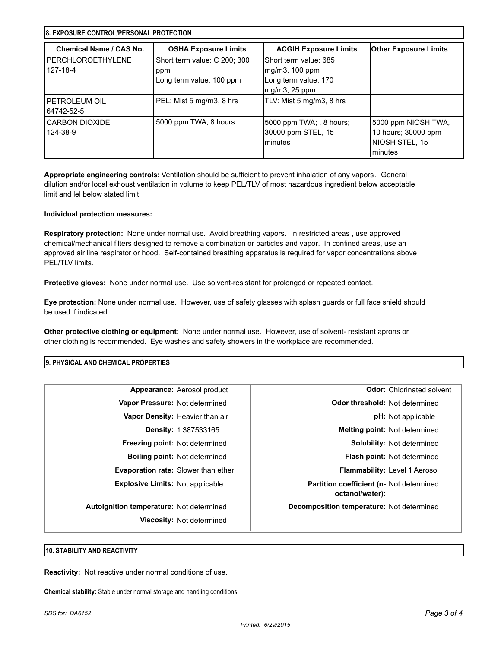| <b>18. EXPOSURE CONTROL/PERSONAL PROTECTION</b> |                                                                 |                                                                                  |                                                                         |  |
|-------------------------------------------------|-----------------------------------------------------------------|----------------------------------------------------------------------------------|-------------------------------------------------------------------------|--|
| Chemical Name / CAS No.                         | <b>OSHA Exposure Limits</b>                                     | <b>ACGIH Exposure Limits</b>                                                     | Other Exposure Limits                                                   |  |
| I PERCHLOROETHYLENE<br>127-18-4                 | Short term value: C 200; 300<br>ppm<br>Long term value: 100 ppm | Short term value: 685<br>mg/m3, 100 ppm<br>Long term value: 170<br>mg/m3; 25 ppm |                                                                         |  |
| I PETROLEUM OIL<br>64742-52-5                   | PEL: Mist 5 mg/m3, 8 hrs                                        | TLV: Mist 5 mg/m3, 8 hrs                                                         |                                                                         |  |
| <b>CARBON DIOXIDE</b><br>124-38-9               | 5000 ppm TWA, 8 hours                                           | 5000 ppm TWA; , 8 hours;<br>30000 ppm STEL, 15<br>Iminutes                       | 5000 ppm NIOSH TWA,<br>10 hours; 30000 ppm<br>NIOSH STEL, 15<br>minutes |  |

**Appropriate engineering controls:** Ventilation should be sufficient to prevent inhalation of any vapors . General dilution and/or local exhoust ventilation in volume to keep PEL/TLV of most hazardous ingredient below acceptable limit and lel below stated limit.

## **Individual protection measures:**

**Respiratory protection:** None under normal use. Avoid breathing vapors. In restricted areas , use approved chemical/mechanical filters designed to remove a combination or particles and vapor. In confined areas, use an approved air line respirator or hood. Self-contained breathing apparatus is required for vapor concentrations above PEL/TLV limits.

**Protective gloves:** None under normal use. Use solvent-resistant for prolonged or repeated contact.

**Eye protection:** None under normal use. However, use of safety glasses with splash guards or full face shield should be used if indicated.

**Other protective clothing or equipment:** None under normal use. However, use of solvent- resistant aprons or other clothing is recommended. Eye washes and safety showers in the workplace are recommended.

## **9. PHYSICAL AND CHEMICAL PROPERTIES**

| Appearance: Aerosol product                     | <b>Odor:</b> Chlorinated solvent                            |
|-------------------------------------------------|-------------------------------------------------------------|
| Vapor Pressure: Not determined                  | <b>Odor threshold: Not determined</b>                       |
| <b>Vapor Density:</b> Heavier than air          | <b>pH:</b> Not applicable                                   |
| <b>Density: 1.387533165</b>                     | Melting point: Not determined                               |
| <b>Freezing point: Not determined</b>           | <b>Solubility: Not determined</b>                           |
| <b>Boiling point:</b> Not determined            | <b>Flash point: Not determined</b>                          |
| Evaporation rate: Slower than ether             | <b>Flammability:</b> Level 1 Aerosol                        |
| <b>Explosive Limits: Not applicable</b>         | Partition coefficient (n- Not determined<br>octanol/water): |
| <b>Autoignition temperature:</b> Not determined | Decomposition temperature: Not determined                   |
| Viscosity: Not determined                       |                                                             |

#### **10. STABILITY AND REACTIVITY**

**Reactivity:** Not reactive under normal conditions of use.

**Chemical stability:** Stable under normal storage and handling conditions.